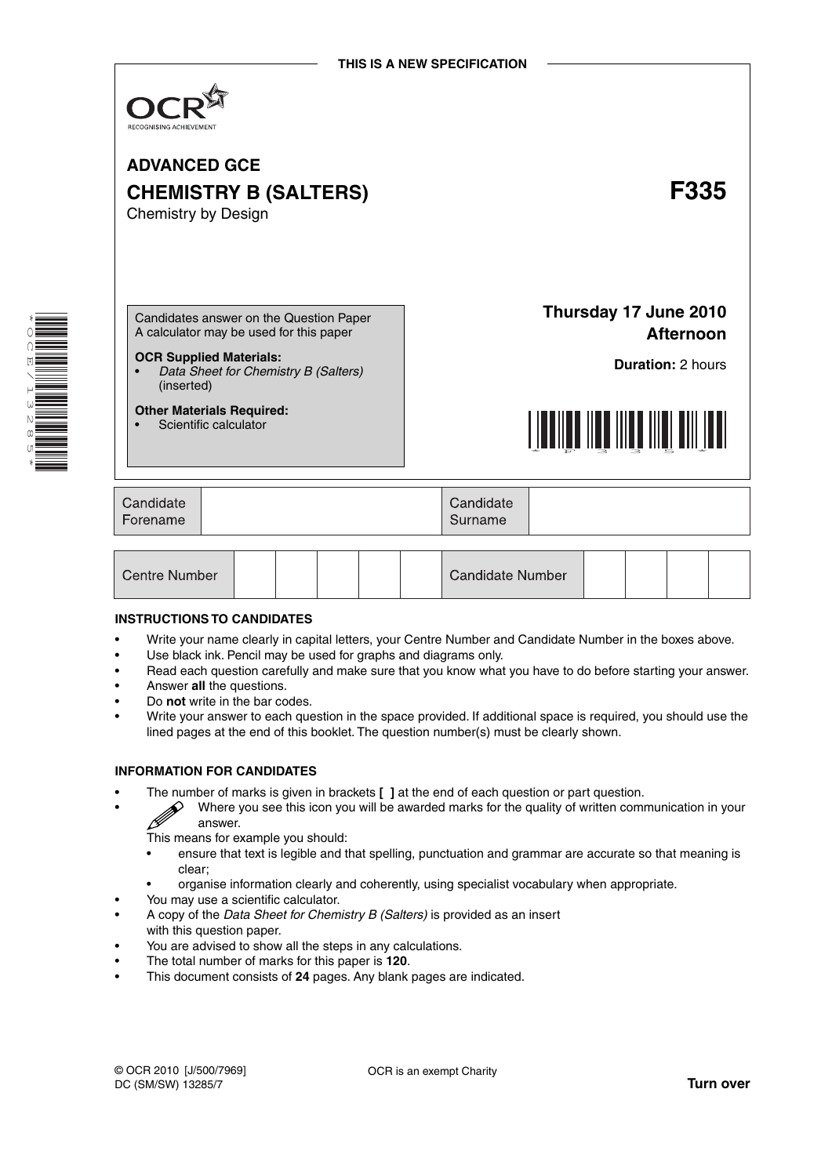

## **ADVANCED GCE CHEMISTRY B (SALTERS) F335** Chemistry by Design

Candidates answer on the Question Paper A calculator may be used for this paper

### **OCR Supplied Materials:**

• *Data Sheet for Chemistry B (Salters)* (inserted)

#### **Other Materials Required:**

Scientific calculator

**Thursday 17 June 2010 Afternoon**

**Duration:** 2 hours



| Candidate | Candidate |
|-----------|-----------|
| Forename  | Surname   |

| Centre Number |  |  |  |  |  | <b>Candidate Number</b> |  |  |  |  |  |
|---------------|--|--|--|--|--|-------------------------|--|--|--|--|--|
|---------------|--|--|--|--|--|-------------------------|--|--|--|--|--|

### **INSTRUCTIONS TO CANDIDATES**

- Write your name clearly in capital letters, your Centre Number and Candidate Number in the boxes above.
- Use black ink. Pencil may be used for graphs and diagrams only.
- Read each question carefully and make sure that you know what you have to do before starting your answer.
- Answer **all** the questions.
- Do **not** write in the bar codes.
- Write your answer to each question in the space provided. If additional space is required, you should use the lined pages at the end of this booklet. The question number(s) must be clearly shown.

### **INFORMATION FOR CANDIDATES**

- The number of marks is given in brackets **[ ]** at the end of each question or part question.
	- Where you see this icon you will be awarded marks for the quality of written communication in your  $\mathbb{Z}$  Where  $\mathbb{Z}$  answer.
		- This means for example you should:
		- ensure that text is legible and that spelling, punctuation and grammar are accurate so that meaning is clear;
	- organise information clearly and coherently, using specialist vocabulary when appropriate.
	- You may use a scientific calculator.
- A copy of the *Data Sheet for Chemistry B (Salters)* is provided as an insert
- with this question paper.
- You are advised to show all the steps in any calculations.
- The total number of marks for this paper is **120**.
- This document consists of **24** pages. Any blank pages are indicated.

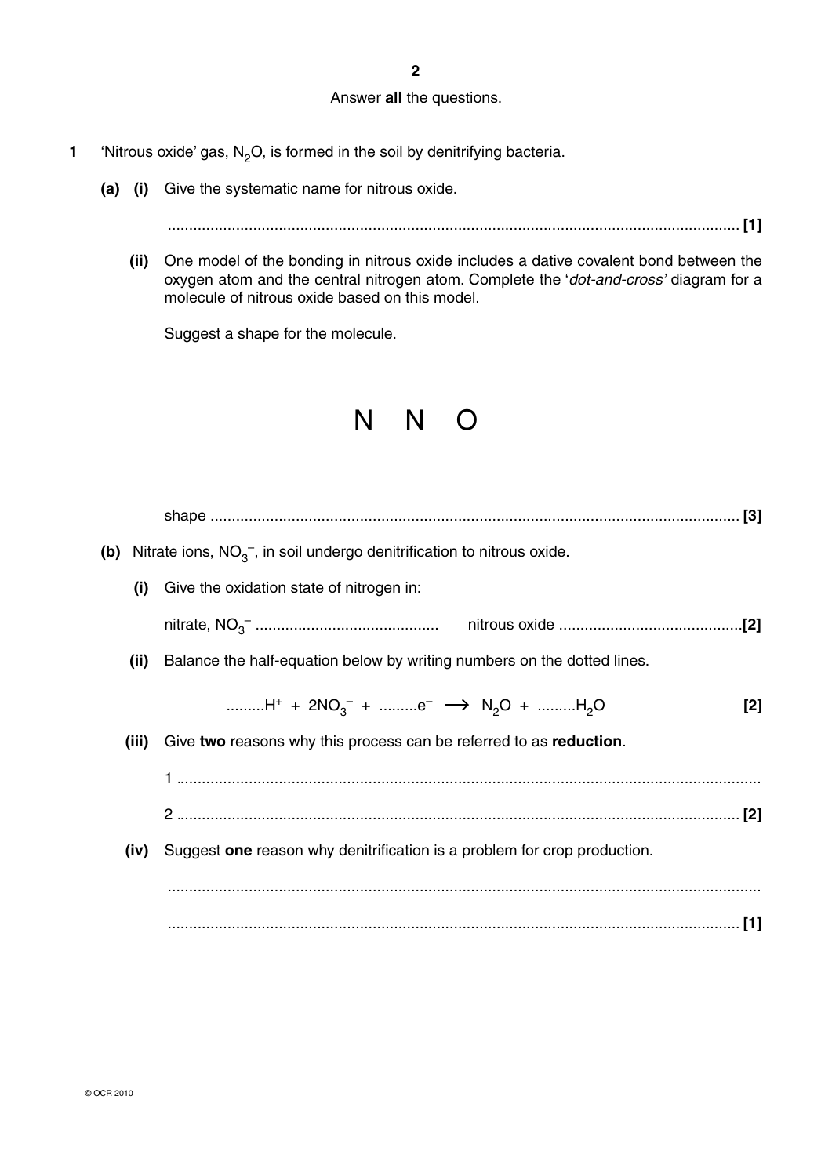**2**

### Answer **all** the questions.

- **1** 'Nitrous oxide' gas,  $N_2O$ , is formed in the soil by denitrifying bacteria.
	- **(a) (i)** Give the systematic name for nitrous oxide.
		- ...................................................................................................................................... **[1]**
		- **(ii)** One model of the bonding in nitrous oxide includes a dative covalent bond between the oxygen atom and the central nitrogen atom. Complete the '*dot-and-cross'* diagram for a molecule of nitrous oxide based on this model.

Suggest a shape for the molecule.

# N N O

|       | (b) Nitrate ions, $NO3-$ , in soil undergo denitrification to nitrous oxide.                                      |       |
|-------|-------------------------------------------------------------------------------------------------------------------|-------|
| (i)   | Give the oxidation state of nitrogen in:                                                                          |       |
|       |                                                                                                                   |       |
| (ii)  | Balance the half-equation below by writing numbers on the dotted lines.                                           |       |
|       | H <sup>+</sup> + 2NO <sub>3</sub> <sup>-</sup> + e <sup>-</sup> $\rightarrow$ N <sub>2</sub> O + H <sub>2</sub> O | $[2]$ |
| (iii) | Give two reasons why this process can be referred to as reduction.                                                |       |
|       |                                                                                                                   |       |
|       |                                                                                                                   |       |
| (iv)  | Suggest one reason why denitrification is a problem for crop production.                                          |       |
|       |                                                                                                                   |       |
|       |                                                                                                                   |       |
|       |                                                                                                                   |       |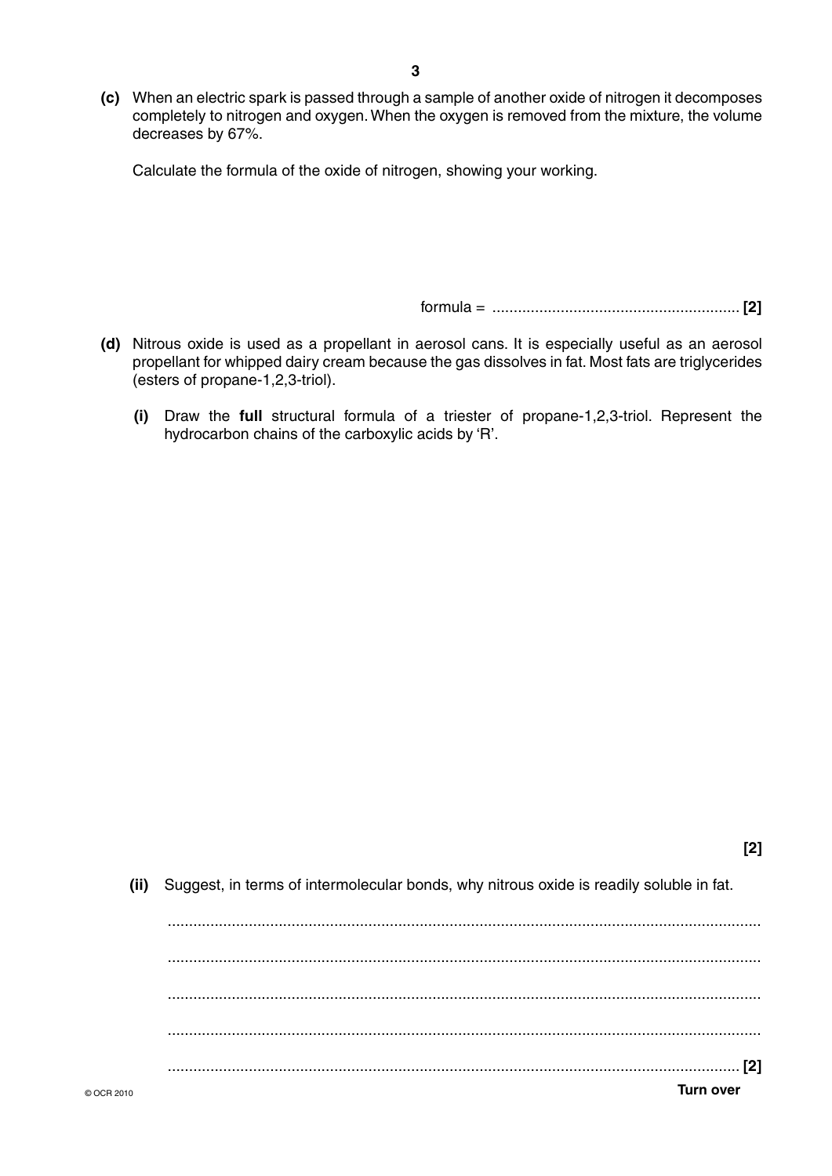**(c)** When an electric spark is passed through a sample of another oxide of nitrogen it decomposes completely to nitrogen and oxygen. When the oxygen is removed from the mixture, the volume decreases by 67%.

Calculate the formula of the oxide of nitrogen, showing your working.

formula = .......................................................... **[2]**

**[2]**

- **(d)** Nitrous oxide is used as a propellant in aerosol cans. It is especially useful as an aerosol propellant for whipped dairy cream because the gas dissolves in fat. Most fats are triglycerides (esters of propane-1,2,3-triol).
	- **(i)** Draw the **full** structural formula of a triester of propane-1,2,3-triol. Represent the hydrocarbon chains of the carboxylic acids by 'R'.

 **(ii)** Suggest, in terms of intermolecular bonds, why nitrous oxide is readily soluble in fat.

© OCR 2010 **Turn over** ........................................................................................................................................... ........................................................................................................................................... ........................................................................................................................................... ........................................................................................................................................... ...................................................................................................................................... **[2]**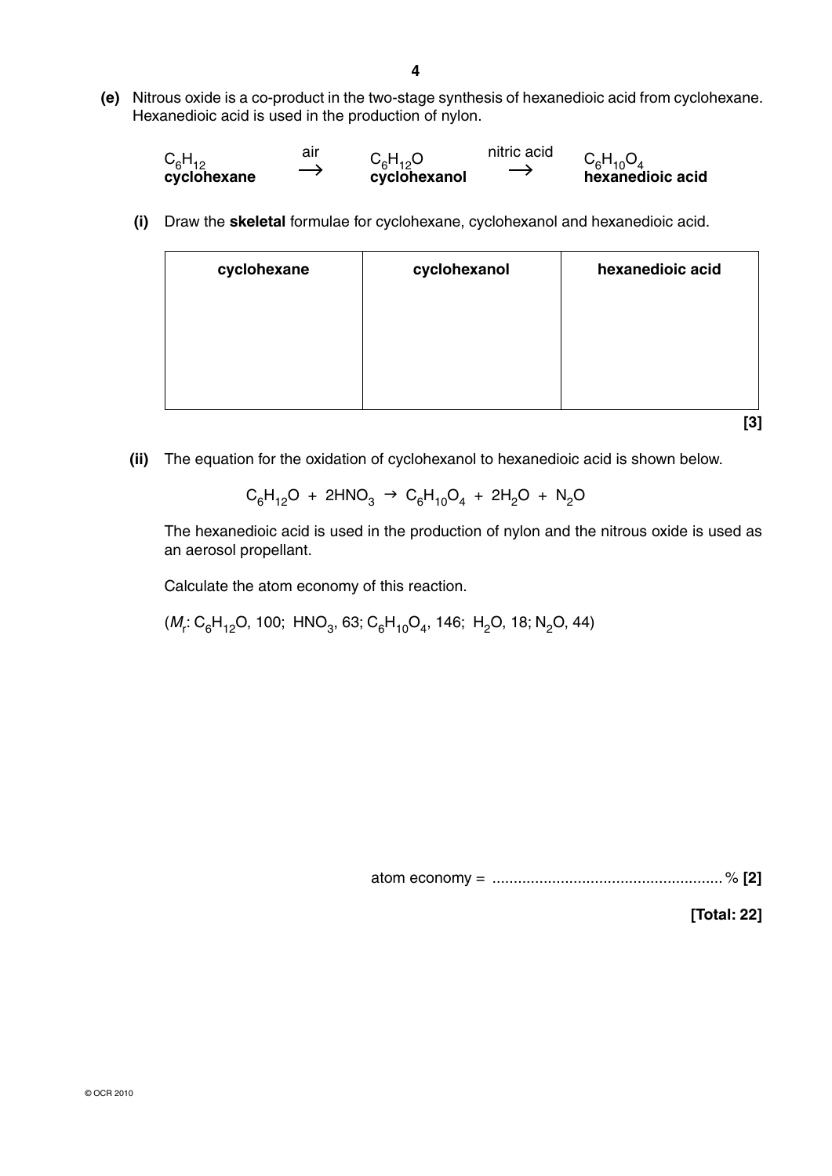**(e)** Nitrous oxide is a co-product in the two-stage synthesis of hexanedioic acid from cyclohexane. Hexanedioic acid is used in the production of nylon.

$$
C_6H_{12}
$$
 air  $C_6H_{12}O$  nitric acid  $C_6H_{10}O_4$   
cyclohexane  $\rightarrow$  cyclohexanol  $\rightarrow$  hexanedioic acid

 **(i)** Draw the **skeletal** formulae for cyclohexane, cyclohexanol and hexanedioic acid.

| cyclohexane | cyclohexanol | hexanedioic acid |
|-------------|--------------|------------------|
|             |              |                  |
|             |              |                  |
|             |              |                  |
|             |              |                  |

**[3]**

 **(ii)** The equation for the oxidation of cyclohexanol to hexanedioic acid is shown below.

$$
C_6H_{12}O + 2HNO_3 \rightarrow C_6H_{10}O_4 + 2H_2O + N_2O
$$

The hexanedioic acid is used in the production of nylon and the nitrous oxide is used as an aerosol propellant.

Calculate the atom economy of this reaction.

 $(M_r: \text{C}_6\text{H}_{12}\text{O},$  100;  $\text{HNO}_3$ , 63;  $\text{C}_6\text{H}_{10}\text{O}_4$ , 146;  $\text{H}_2\text{O}$ , 18; N $_2$ O, 44)

atom economy = ...................................................... % **[2]**

**[Total: 22]**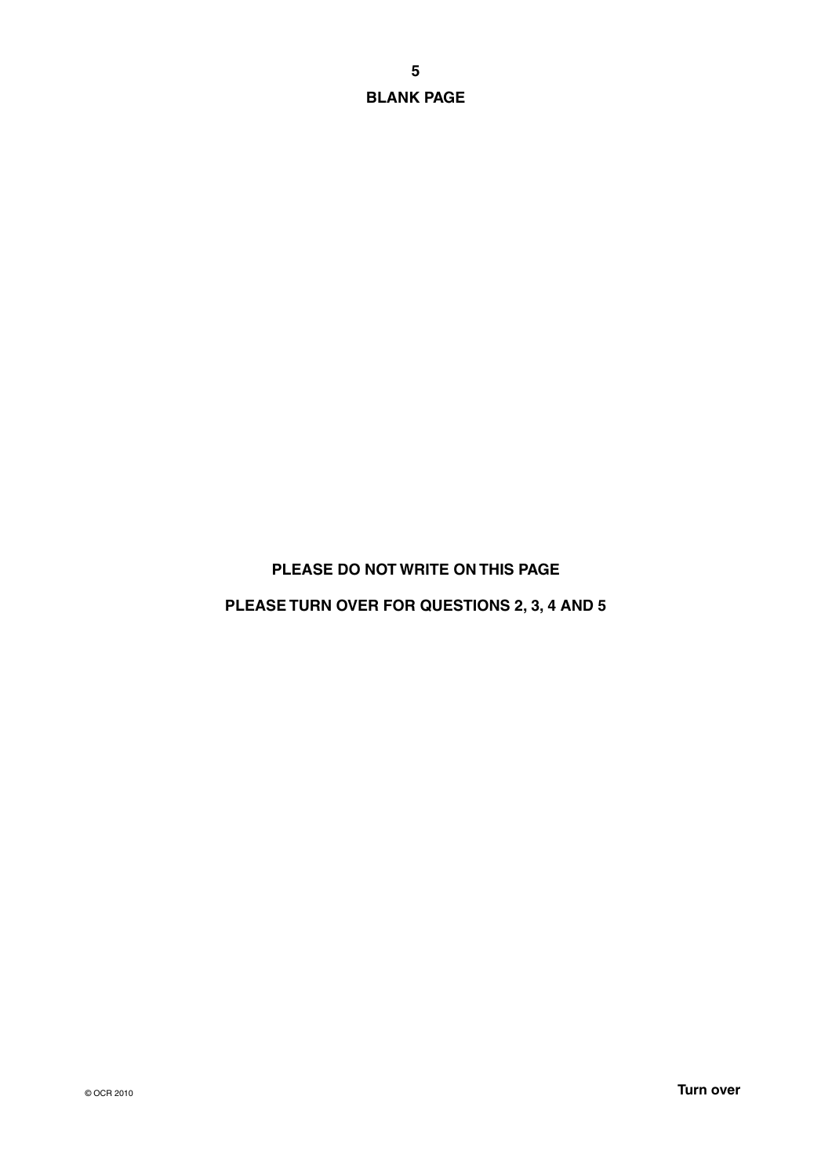**BLANK PAGE**

### **PLEASE DO NOT WRITE ON THIS PAGE**

### **PLEASE TURN OVER FOR QUESTIONS 2, 3, 4 AND 5**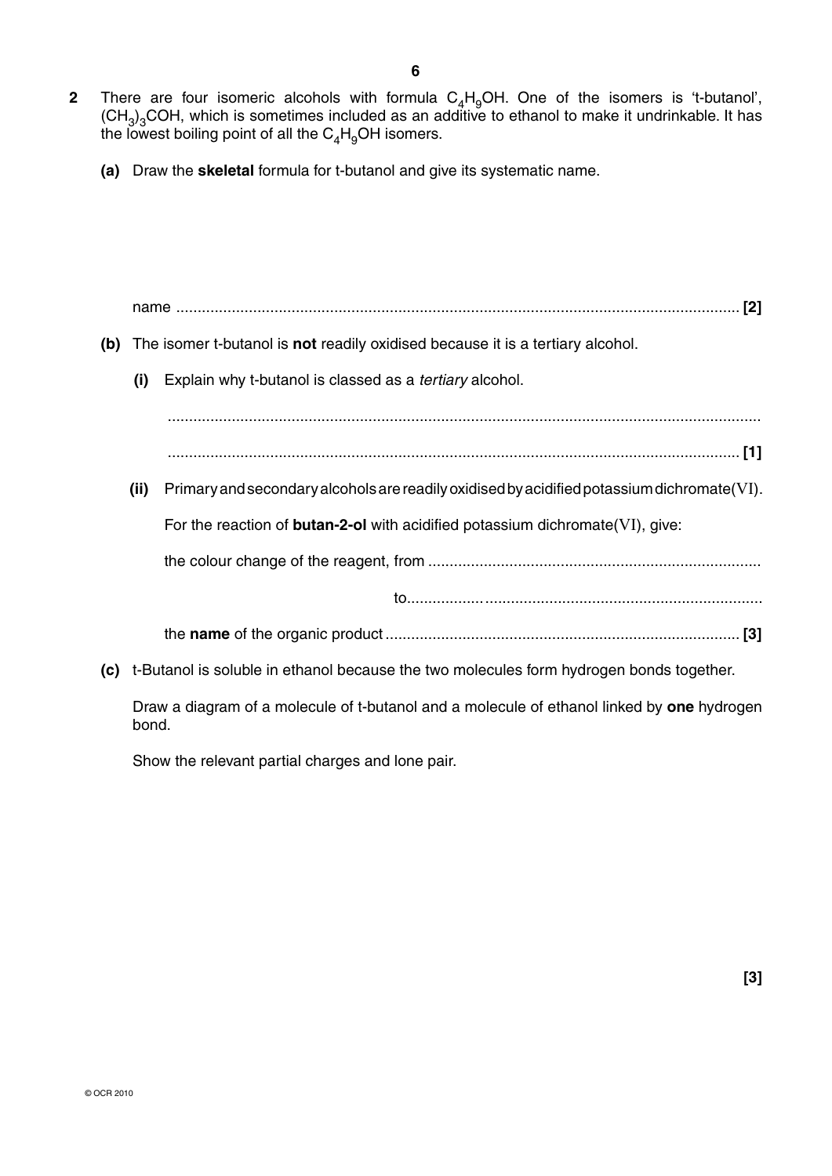- **2** There are four isomeric alcohols with formula  $C_4H_9OH$ . One of the isomers is 't-butanol',  $(\text{CH}_3)_3\text{COH}$ , which is sometimes included as an additive to ethanol to make it undrinkable. It has the lowest boiling point of all the  $C_4H_9$ OH isomers.
	- **(a)** Draw the **skeletal** formula for t-butanol and give its systematic name.

name .................................................................................................................................... **[2] (b)** The isomer t-butanol is **not** readily oxidised because it is a tertiary alcohol.  **(i)** Explain why t-butanol is classed as a *tertiary* alcohol. ........................................................................................................................................... ...................................................................................................................................... **[1] (ii)** Primary and secondary alcohols are readily oxidised by acidified potassium dichromate(VI). For the reaction of **butan-2-ol** with acidified potassium dichromate(VI), give: the colour change of the reagent, from .............................................................................. to................................................................................... the **name** of the organic product ................................................................................... **[3] (c)** t-Butanol is soluble in ethanol because the two molecules form hydrogen bonds together. Draw a diagram of a molecule of t-butanol and a molecule of ethanol linked by **one** hydrogen bond.

Show the relevant partial charges and lone pair.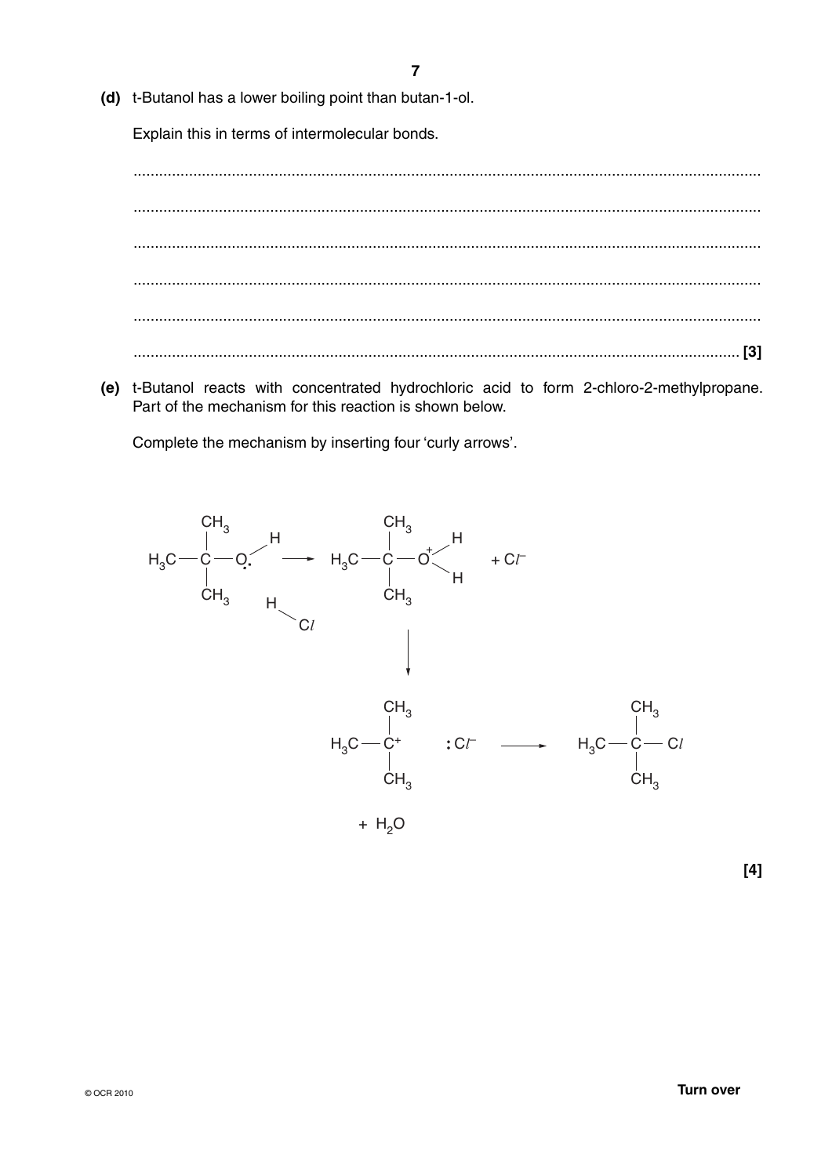(d) t-Butanol has a lower boiling point than butan-1-ol.

Explain this in terms of intermolecular bonds.

(e) t-Butanol reacts with concentrated hydrochloric acid to form 2-chloro-2-methylpropane. Part of the mechanism for this reaction is shown below.

Complete the mechanism by inserting four 'curly arrows'.

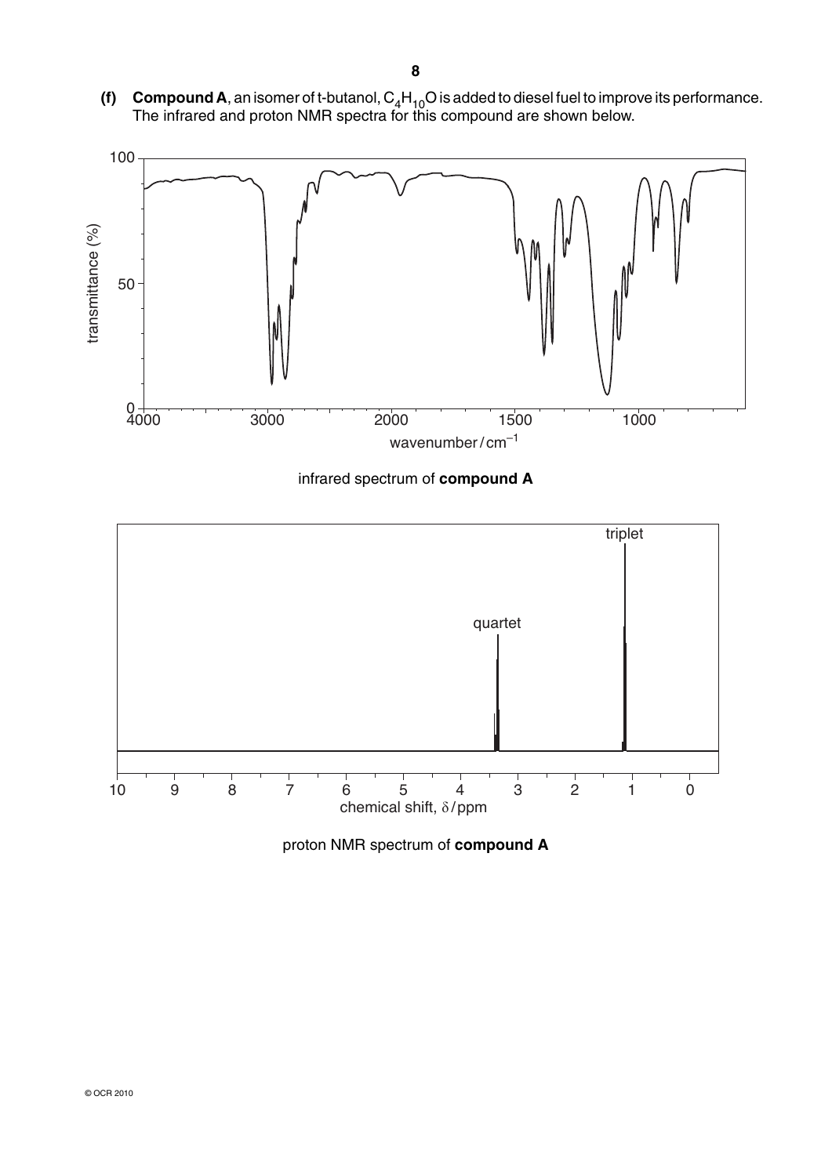**(f) Compound A**, an isomer of t-butanol,  $C_4H_{10}O$  is added to diesel fuel to improve its performance. The infrared and proton NMR spectra for this compound are shown below.



infrared spectrum of **compound A**



proton NMR spectrum of **compound A**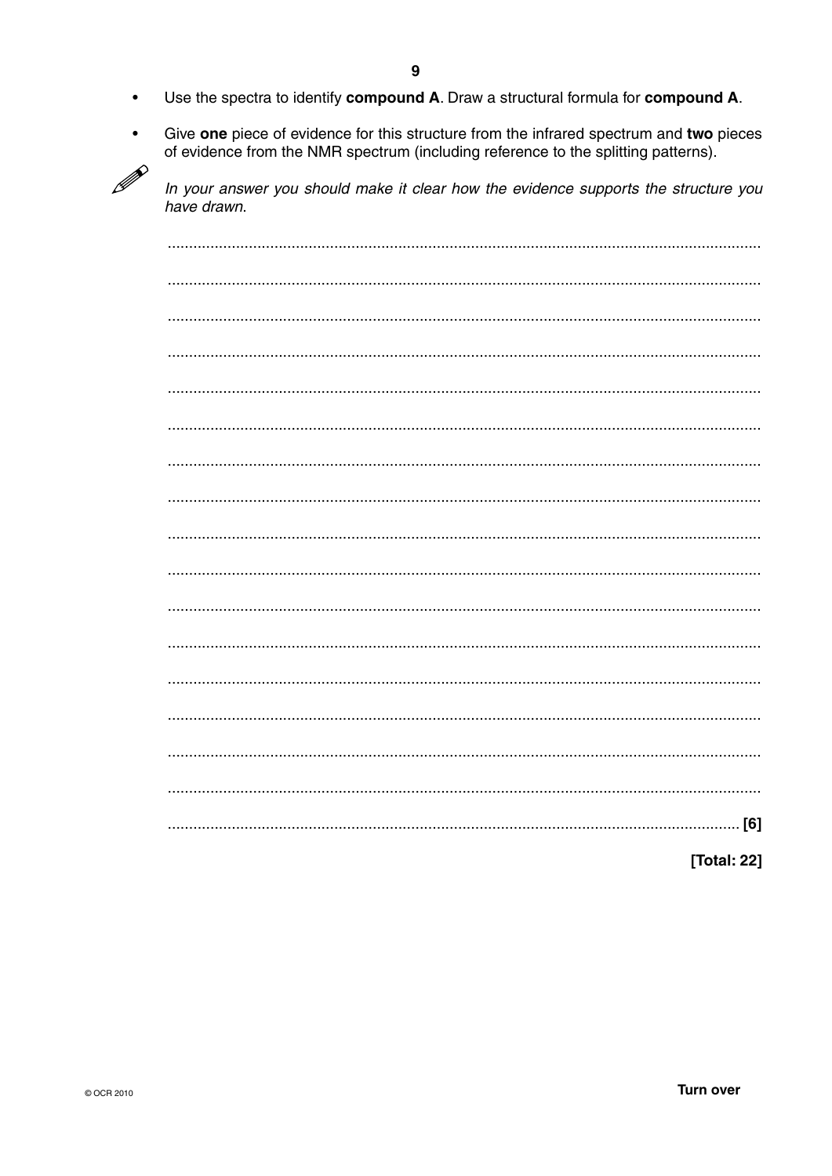- Use the spectra to identify compound A. Draw a structural formula for compound A.  $\bullet$
- Give one piece of evidence for this structure from the infrared spectrum and two pieces  $\bullet$ of evidence from the NMR spectrum (including reference to the splitting patterns).  $\mathscr{P}$

In your answer you should make it clear how the evidence supports the structure you have drawn.

| [Total: 22] |
|-------------|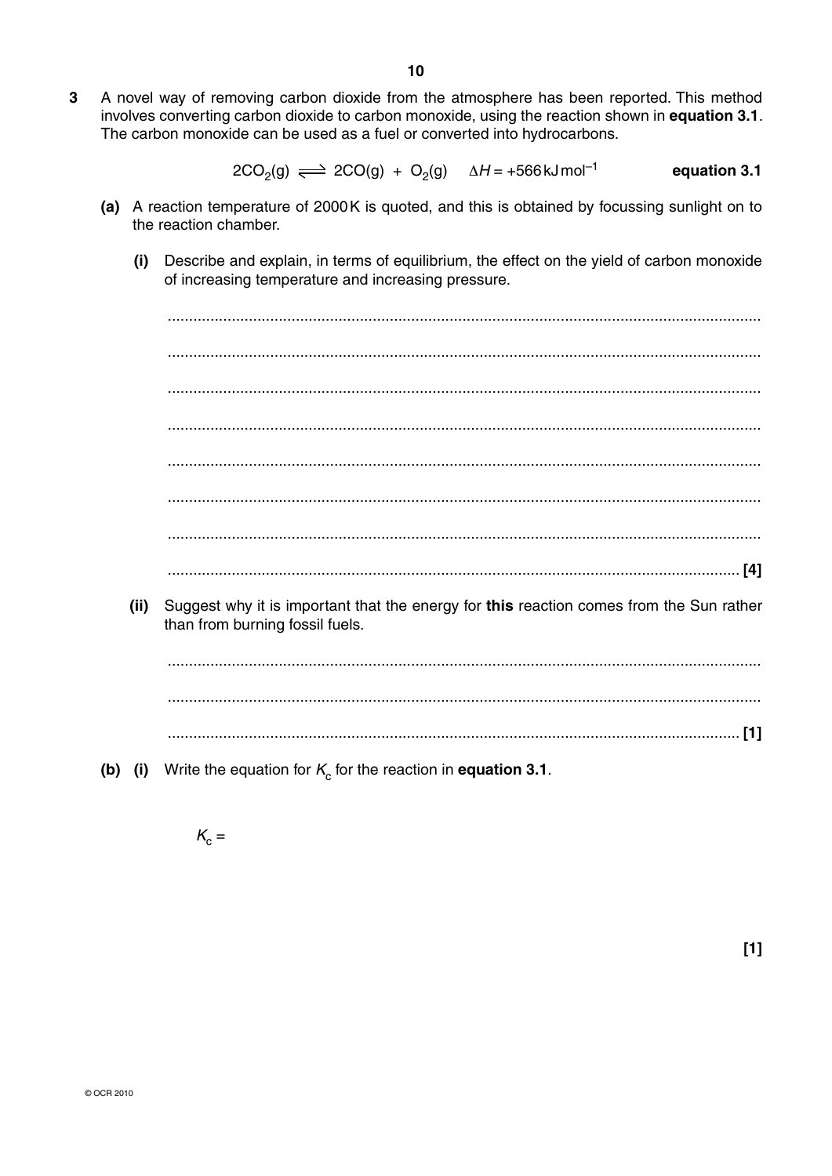$\overline{3}$ A novel way of removing carbon dioxide from the atmosphere has been reported. This method involves converting carbon dioxide to carbon monoxide, using the reaction shown in equation 3.1. The carbon monoxide can be used as a fuel or converted into hydrocarbons.

> $2CO<sub>2</sub>(g) \implies 2CO(g) + O<sub>2</sub>(g)$   $\Delta H = +566 \text{ kJ} \text{ mol}^{-1}$ equation 3.1

- (a) A reaction temperature of 2000K is quoted, and this is obtained by focussing sunlight on to the reaction chamber.
	- Describe and explain, in terms of equilibrium, the effect on the yield of carbon monoxide  $(i)$ of increasing temperature and increasing pressure.

Suggest why it is important that the energy for this reaction comes from the Sun rather  $(ii)$ than from burning fossil fuels.

(b) (i) Write the equation for  $K_c$  for the reaction in equation 3.1.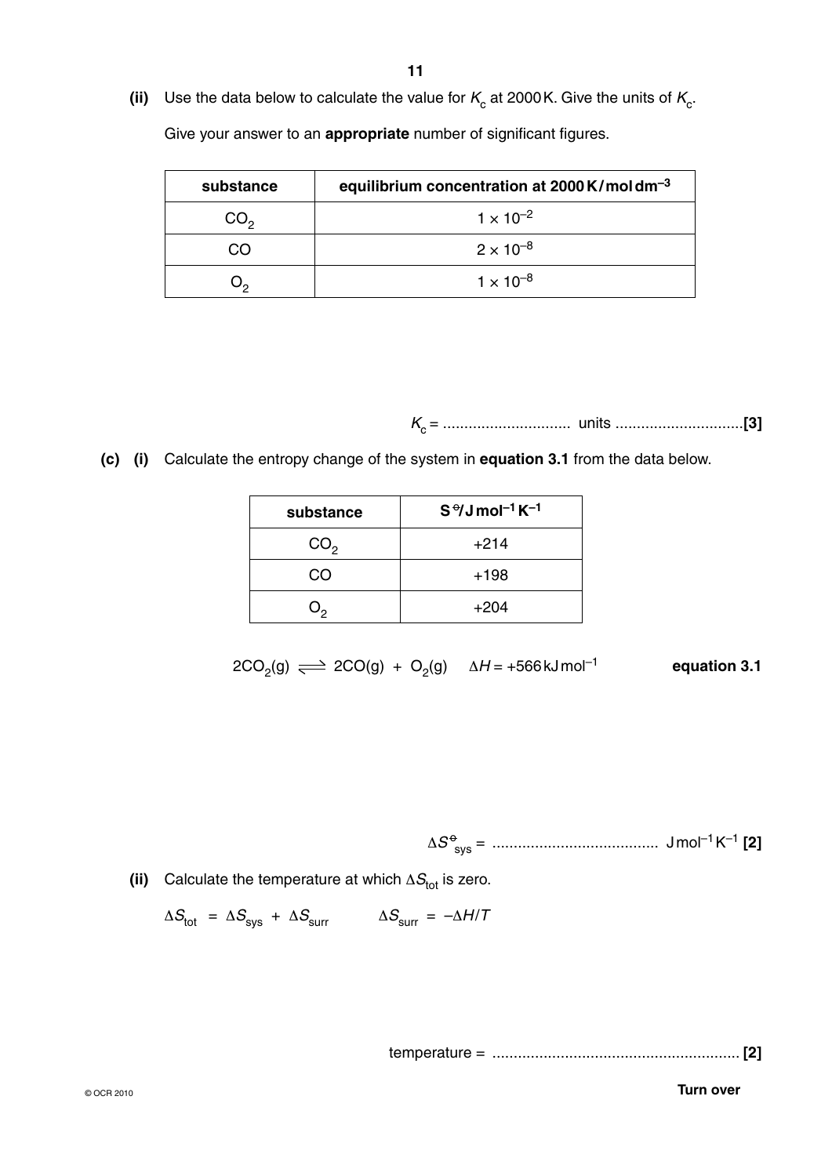(ii) Use the data below to calculate the value for  $K_c$  at 2000 K. Give the units of  $K_c$ .

Give your answer to an **appropriate** number of significant figures.

| substance       | equilibrium concentration at $2000$ K/moldm <sup>-3</sup> |
|-----------------|-----------------------------------------------------------|
| CO <sub>2</sub> | $1 \times 10^{-2}$                                        |
| ററ              | $2 \times 10^{-8}$                                        |
|                 | $1 \times 10^{-8}$                                        |

*K*c = .............................. units ..............................**[3]**

 **(c) (i)** Calculate the entropy change of the system in **equation 3.1** from the data below.

| substance       | $S^{\theta}$ Jmol <sup>-1</sup> K <sup>-1</sup> |
|-----------------|-------------------------------------------------|
| CO <sub>2</sub> | $+214$                                          |
| ററ              | $+198$                                          |
|                 | $+204$                                          |

 $2CO_2(g) \implies 2CO(g) + O_2(g)$   $\Delta H = +566 \text{ kJ} \text{mol}^{-1}$  equation 3.1

Δ*S* <sup>o</sup> sys = ....................................... J mol–1 K–1 **[2]**

(ii) Calculate the temperature at which  $\Delta S_{\text{tot}}$  is zero.

$$
\Delta S_{\text{tot}} = \Delta S_{\text{sys}} + \Delta S_{\text{surr}} \qquad \Delta S_{\text{surr}} = -\Delta H/T
$$

temperature = .......................................................... **[2]**

**Turn over**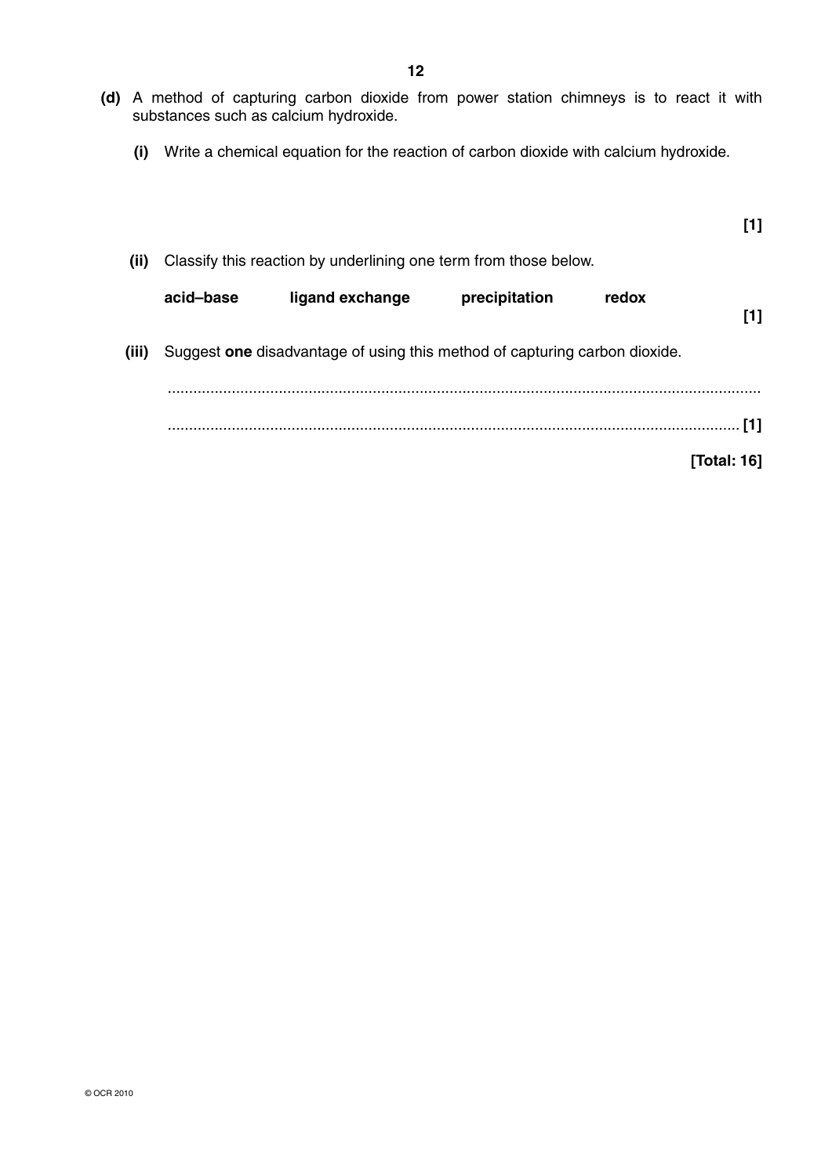- **12**
- **(d)** A method of capturing carbon dioxide from power station chimneys is to react it with substances such as calcium hydroxide.
	- **(i)** Write a chemical equation for the reaction of carbon dioxide with calcium hydroxide.

| [1]         |       |               |                                                                            |           |       |
|-------------|-------|---------------|----------------------------------------------------------------------------|-----------|-------|
|             |       |               | Classify this reaction by underlining one term from those below.           |           | (ii)  |
| [1]         | redox | precipitation | ligand exchange                                                            | acid-base |       |
|             |       |               | Suggest one disadvantage of using this method of capturing carbon dioxide. |           | (iii) |
| [1]         |       |               |                                                                            |           |       |
| [Total: 16] |       |               |                                                                            |           |       |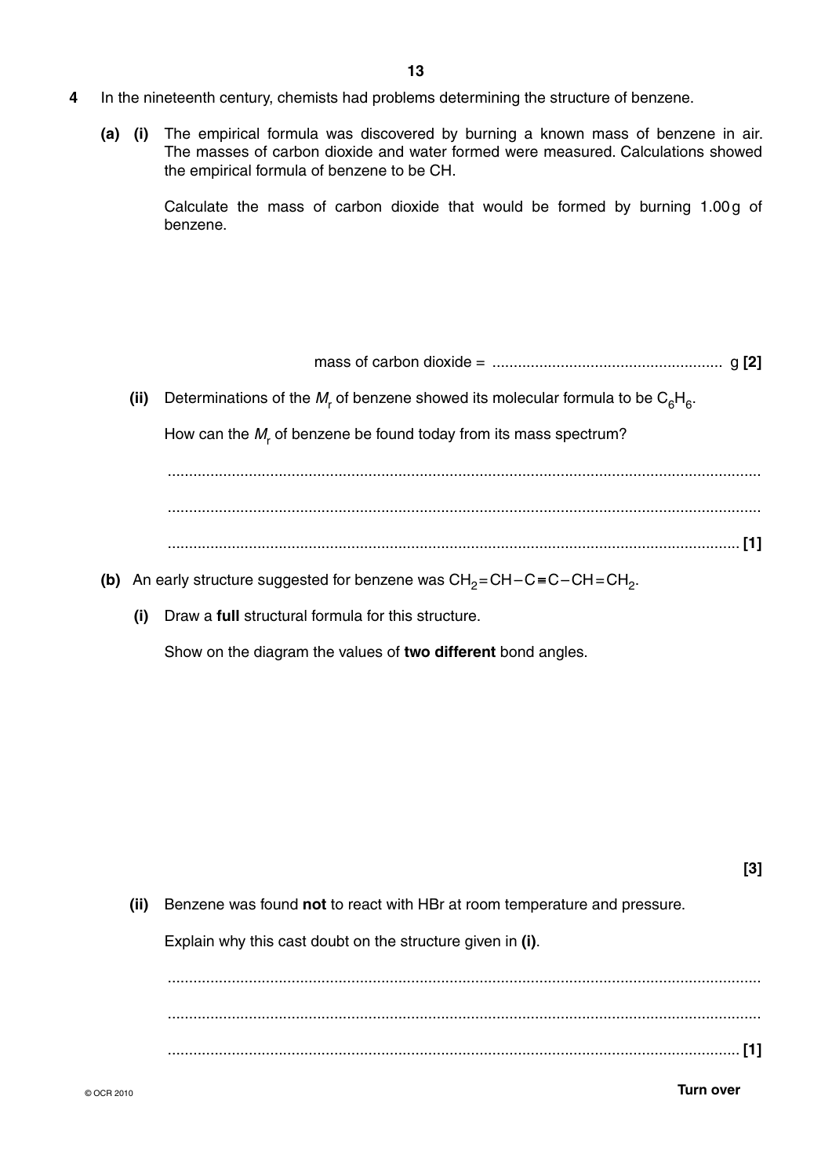- **4** In the nineteenth century, chemists had problems determining the structure of benzene.
	- **(a) (i)** The empirical formula was discovered by burning a known mass of benzene in air. The masses of carbon dioxide and water formed were measured. Calculations showed the empirical formula of benzene to be CH.

Calculate the mass of carbon dioxide that would be formed by burning 1.00 g of benzene.

mass of carbon dioxide = ...................................................... g **[2]**

(ii) Determinations of the  $M_r$  of benzene showed its molecular formula to be  $\mathsf{C}_6\mathsf{H}_6$ .

How can the  $M_r$  of benzene be found today from its mass spectrum?

 ........................................................................................................................................... ...................................................................................................................................... **[1]**

- **(b)** An early structure suggested for benzene was  $CH_2=CH-C\equiv C-CH=CH_2$ .
	- **(i)** Draw a **full** structural formula for this structure.

Show on the diagram the values of **two different** bond angles.

**[3]**

 **(ii)** Benzene was found **not** to react with HBr at room temperature and pressure.

Explain why this cast doubt on the structure given in **(i)**.

 ........................................................................................................................................... ........................................................................................................................................... ...................................................................................................................................... **[1]**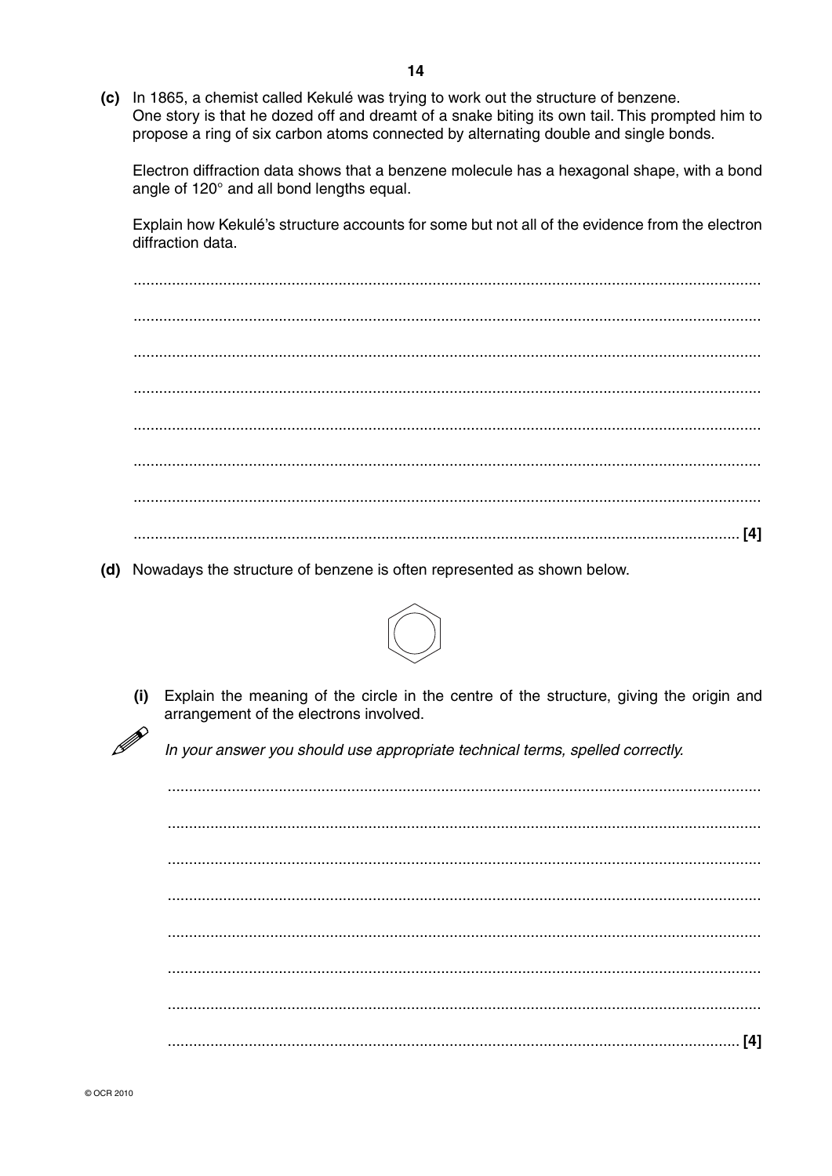(c) In 1865, a chemist called Kekulé was trying to work out the structure of benzene. One story is that he dozed off and dreamt of a snake biting its own tail. This prompted him to propose a ring of six carbon atoms connected by alternating double and single bonds.

Electron diffraction data shows that a benzene molecule has a hexagonal shape, with a bond angle of 120° and all bond lengths equal.

Explain how Kekulé's structure accounts for some but not all of the evidence from the electron diffraction data.

(d) Nowadays the structure of benzene is often represented as shown below.



Explain the meaning of the circle in the centre of the structure, giving the origin and  $(i)$ arrangement of the electrons involved.

In your answer you should use appropriate technical terms, spelled correctly.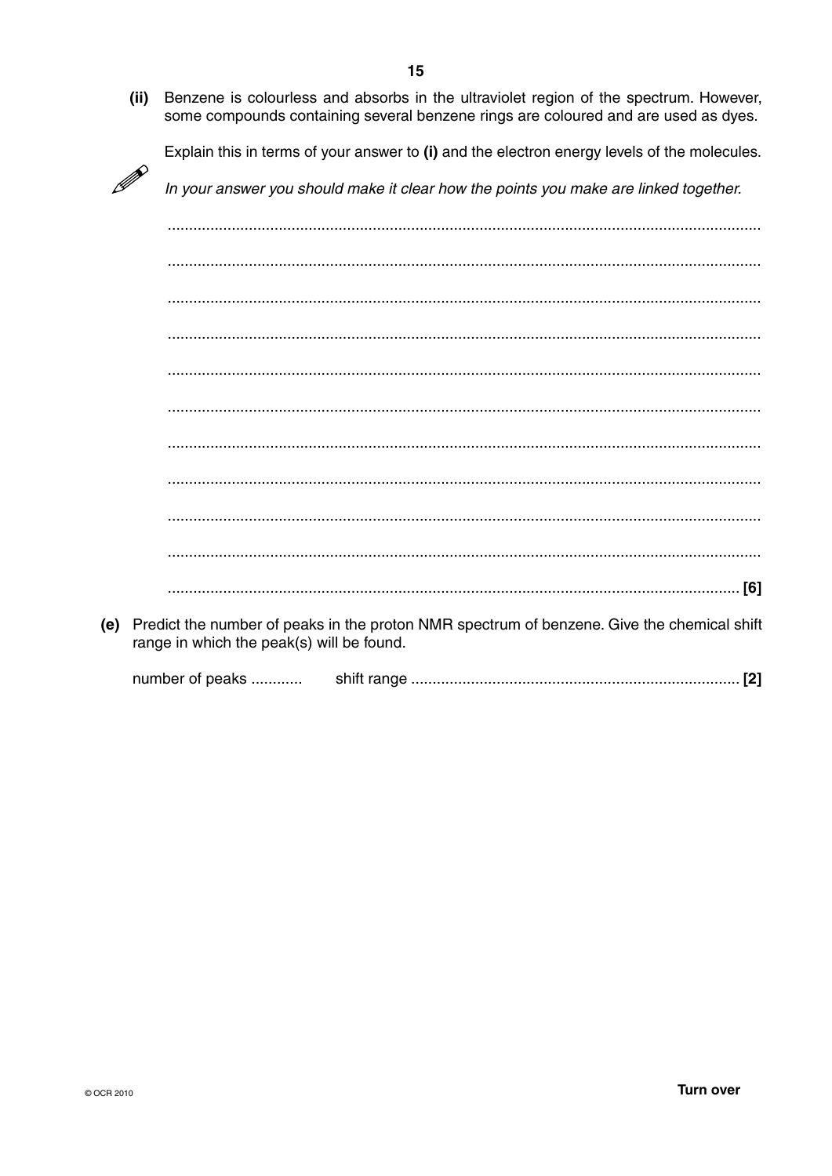Benzene is colourless and absorbs in the ultraviolet region of the spectrum. However,  $(ii)$ some compounds containing several benzene rings are coloured and are used as dyes.

Explain this in terms of your answer to (i) and the electron energy levels of the molecules.

In your answer you should make it clear how the points you make are linked together.

(e) Predict the number of peaks in the proton NMR spectrum of benzene. Give the chemical shift range in which the peak(s) will be found.

number of peaks ............ 

D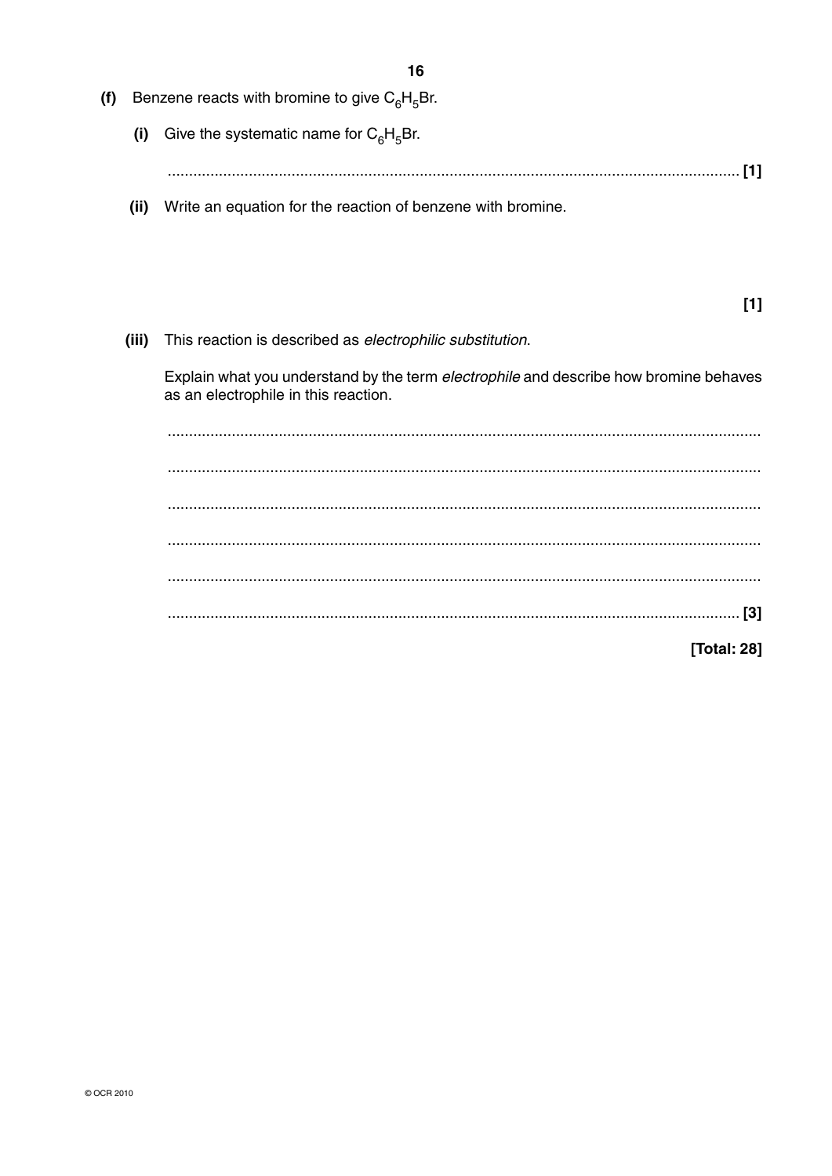| (f) |       | Benzene reacts with bromine to give $C_6H_5Br$ .                                                                              |
|-----|-------|-------------------------------------------------------------------------------------------------------------------------------|
|     | (i)   | Give the systematic name for $C_6H_5Br$ .                                                                                     |
|     |       | [1]                                                                                                                           |
|     | (ii)  | Write an equation for the reaction of benzene with bromine.                                                                   |
|     |       |                                                                                                                               |
|     |       | $[1]$                                                                                                                         |
|     | (iii) | This reaction is described as electrophilic substitution.                                                                     |
|     |       | Explain what you understand by the term electrophile and describe how bromine behaves<br>as an electrophile in this reaction. |
|     |       |                                                                                                                               |
|     |       |                                                                                                                               |
|     |       |                                                                                                                               |
|     |       |                                                                                                                               |
|     |       |                                                                                                                               |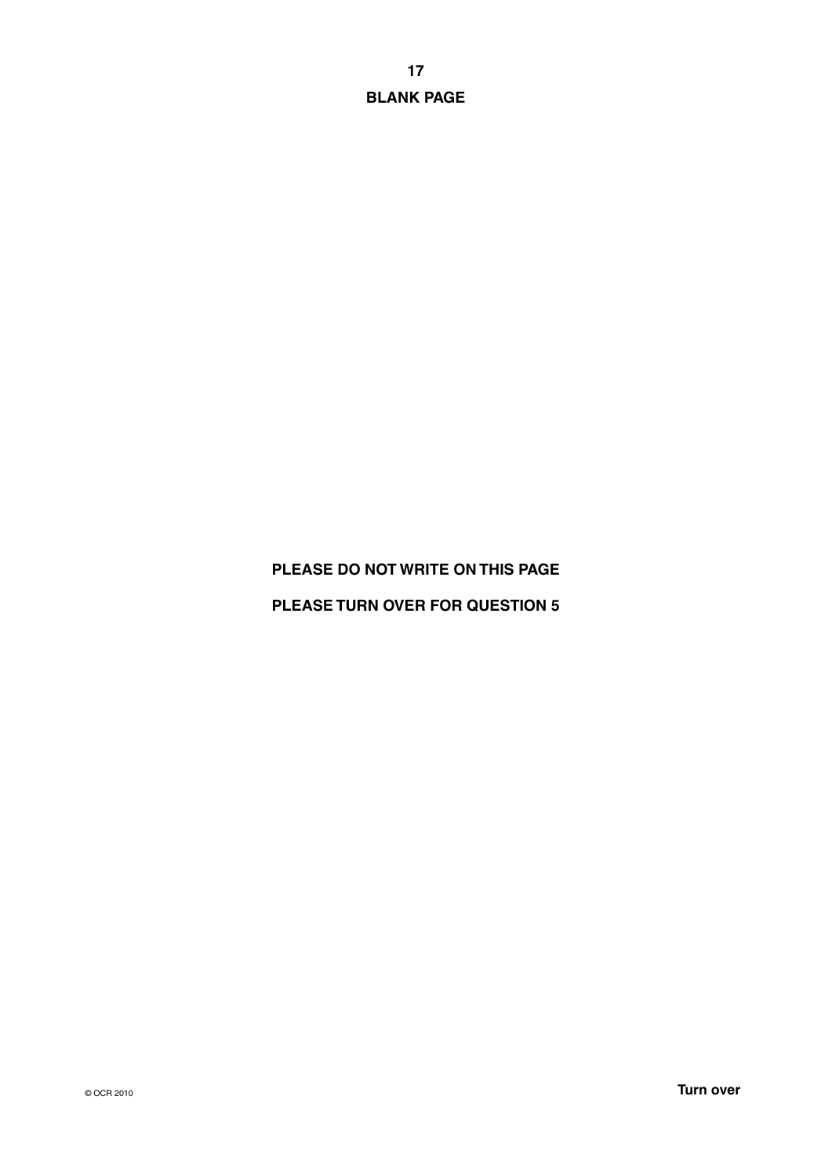**17 BLANK PAGE**

### **PLEASE DO NOT WRITE ON THIS PAGE**

**PLEASE TURN OVER FOR QUESTION 5**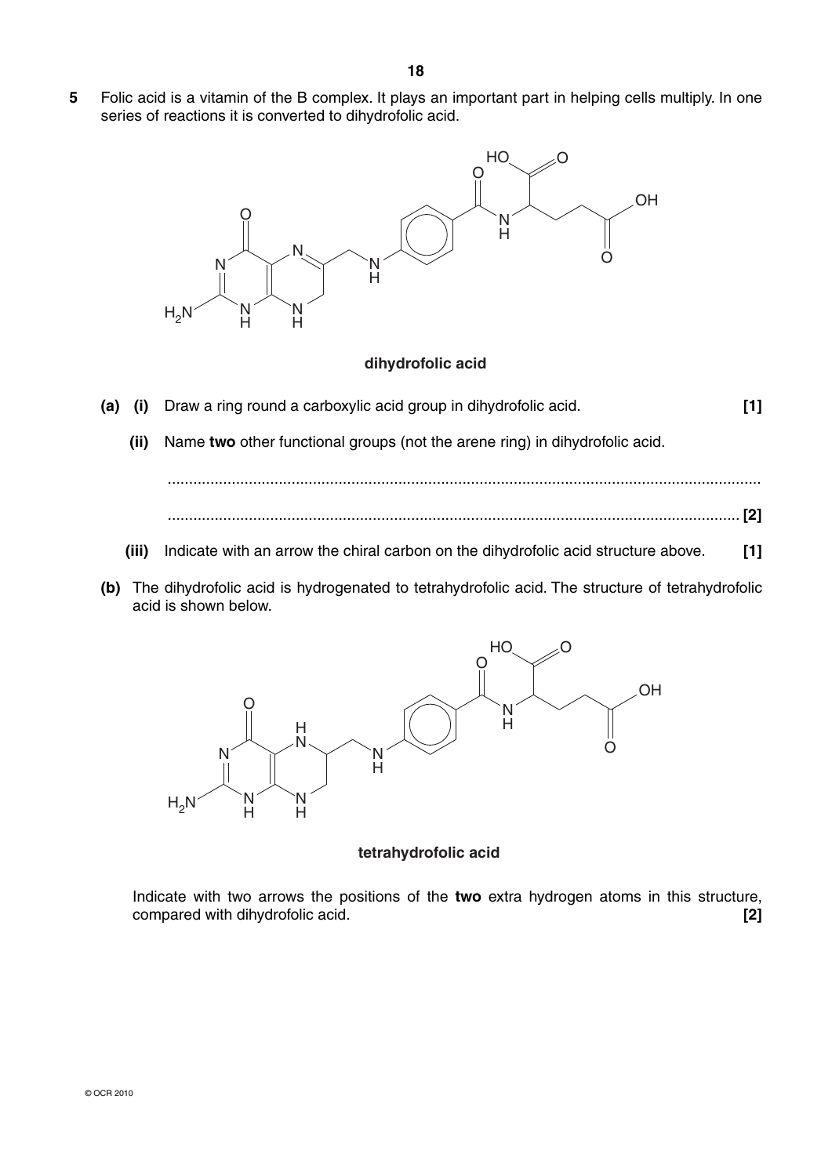**5** Folic acid is a vitamin of the B complex. It plays an important part in helping cells multiply. In one series of reactions it is converted to dihydrofolic acid.



### **dihydrofolic acid**

- **(a) (i)** Draw a ring round a carboxylic acid group in dihydrofolic acid. **[1]**
	- **(ii)** Name **two** other functional groups (not the arene ring) in dihydrofolic acid.



...........................................................................................................................................

- **(iii)** Indicate with an arrow the chiral carbon on the dihydrofolic acid structure above. **[1]**
- **(b)** The dihydrofolic acid is hydrogenated to tetrahydrofolic acid. The structure of tetrahydrofolic acid is shown below.



### **tetrahydrofolic acid**

Indicate with two arrows the positions of the **two** extra hydrogen atoms in this structure, compared with dihydrofolic acid. **[2]**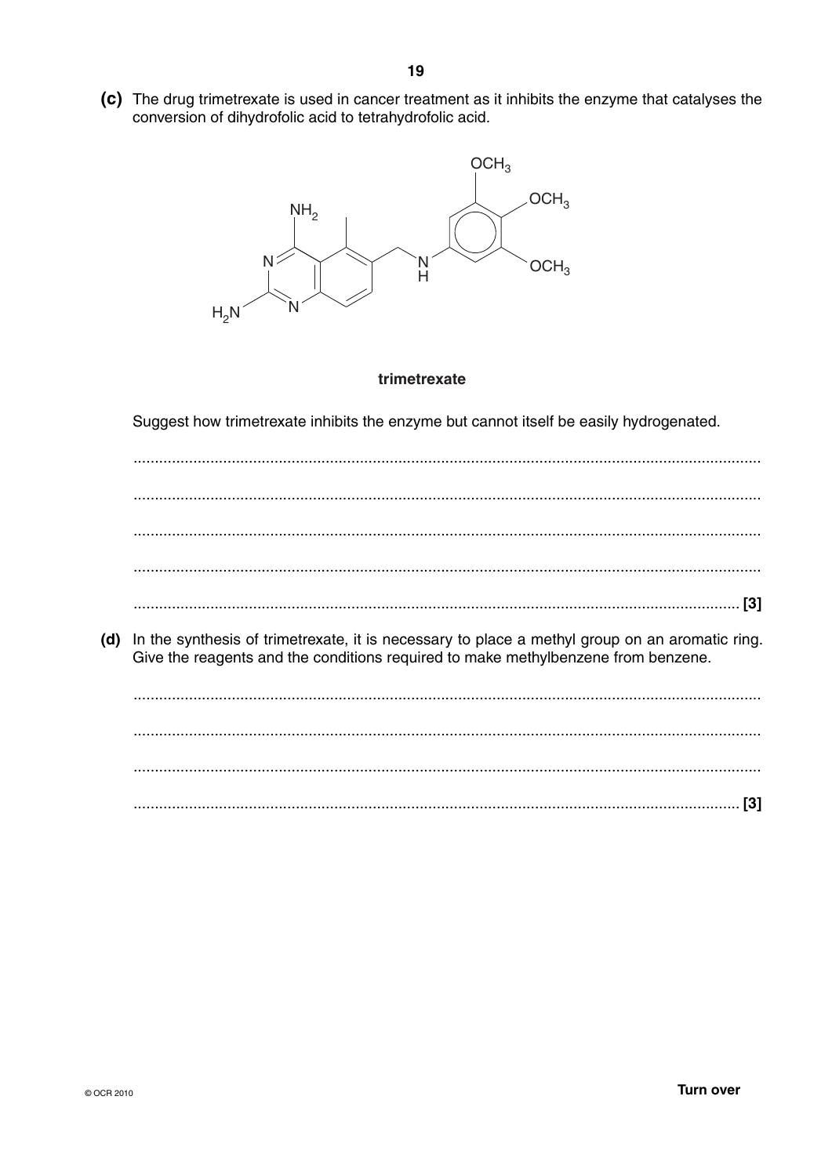(c) The drug trimetrexate is used in cancer treatment as it inhibits the enzyme that catalyses the conversion of dihydrofolic acid to tetrahydrofolic acid.



### trimetrexate

Suggest how trimetrexate inhibits the enzyme but cannot itself be easily hydrogenated.

(d) In the synthesis of trimetrexate, it is necessary to place a methyl group on an aromatic ring. Give the reagents and the conditions required to make methylbenzene from benzene.

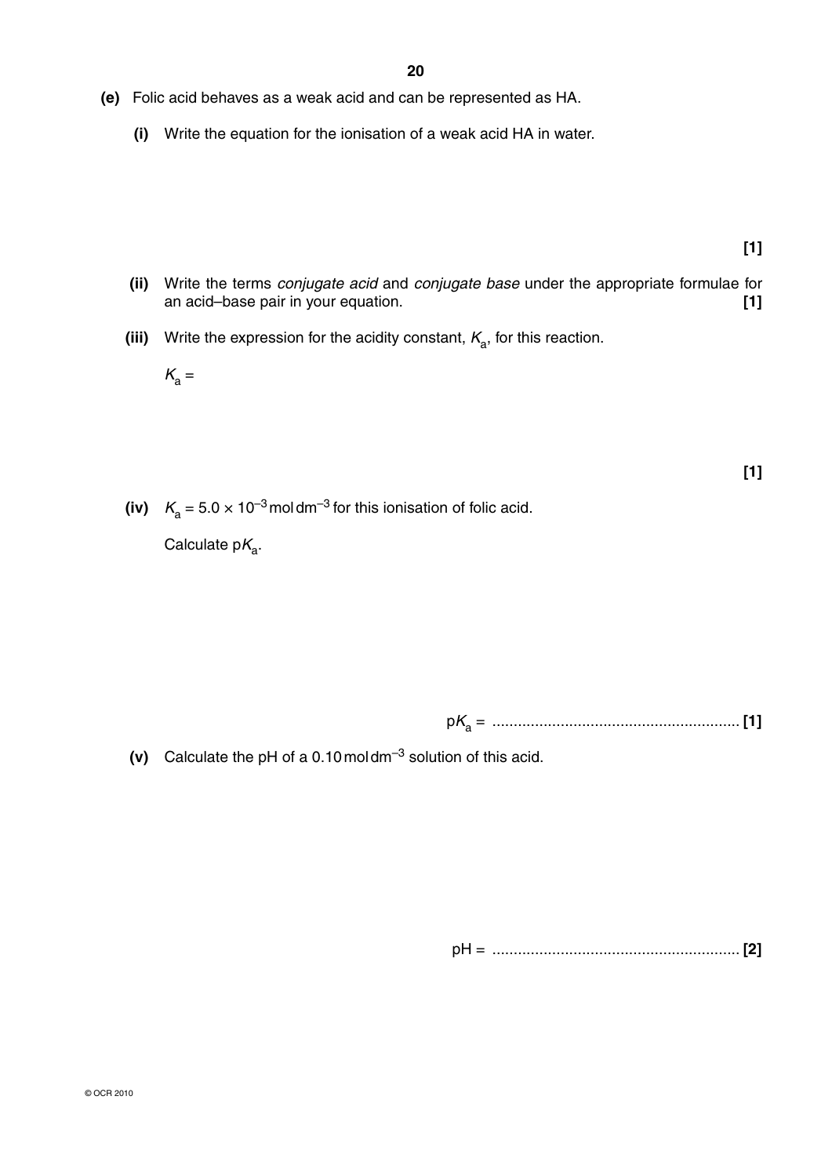- **(e)** Folic acid behaves as a weak acid and can be represented as HA.
	- **(i)** Write the equation for the ionisation of a weak acid HA in water.

**[1]**

**[1]**

- **(ii)** Write the terms *conjugate acid* and *conjugate base* under the appropriate formulae for an acid–base pair in your equation. **[1]**
- **(iii)** Write the expression for the acidity constant,  $K_a$ , for this reaction.
	- $K_a =$
- (iv)  $K_a = 5.0 \times 10^{-3}$  moldm<sup>-3</sup> for this ionisation of folic acid.

 $Calculate pK<sub>a</sub>.$ 

p*K*a = .......................................................... **[1]**

 **(v)** Calculate the pH of a 0.10 mol dm–3 solution of this acid.

pH = .......................................................... **[2]**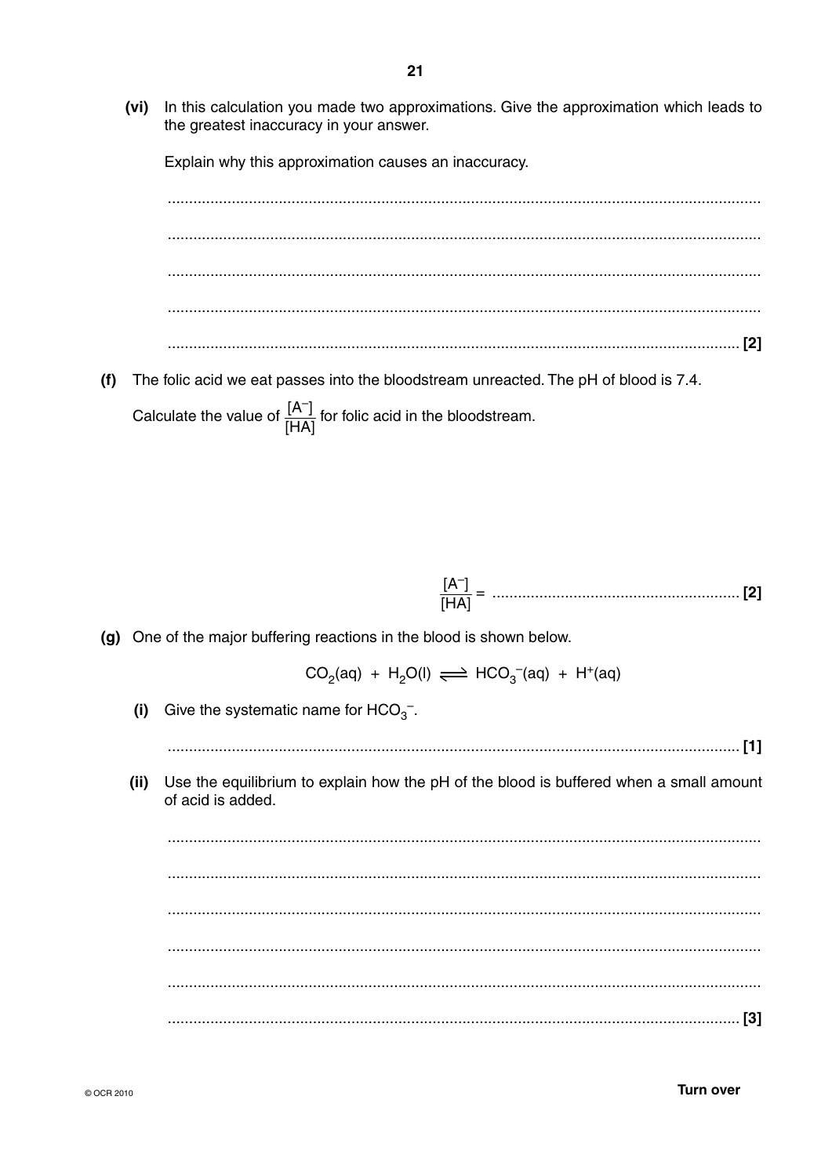In this calculation you made two approximations. Give the approximation which leads to (vi) the greatest inaccuracy in your answer.

Explain why this approximation causes an inaccuracy.

 $(f)$ The folic acid we eat passes into the bloodstream unreacted. The pH of blood is 7.4. Calculate the value of  $\frac{[A^-]}{[HA]}$  for folic acid in the bloodstream.

(g) One of the major buffering reactions in the blood is shown below.

 $CO<sub>2</sub>(aq) + H<sub>2</sub>O(l) \implies HCO<sub>3</sub><sup>-</sup>(aq) + H<sup>+</sup>(aq)$ 

Give the systematic name for  $HCO_3^-$ .  $(i)$ 

(ii) Use the equilibrium to explain how the pH of the blood is buffered when a small amount of acid is added.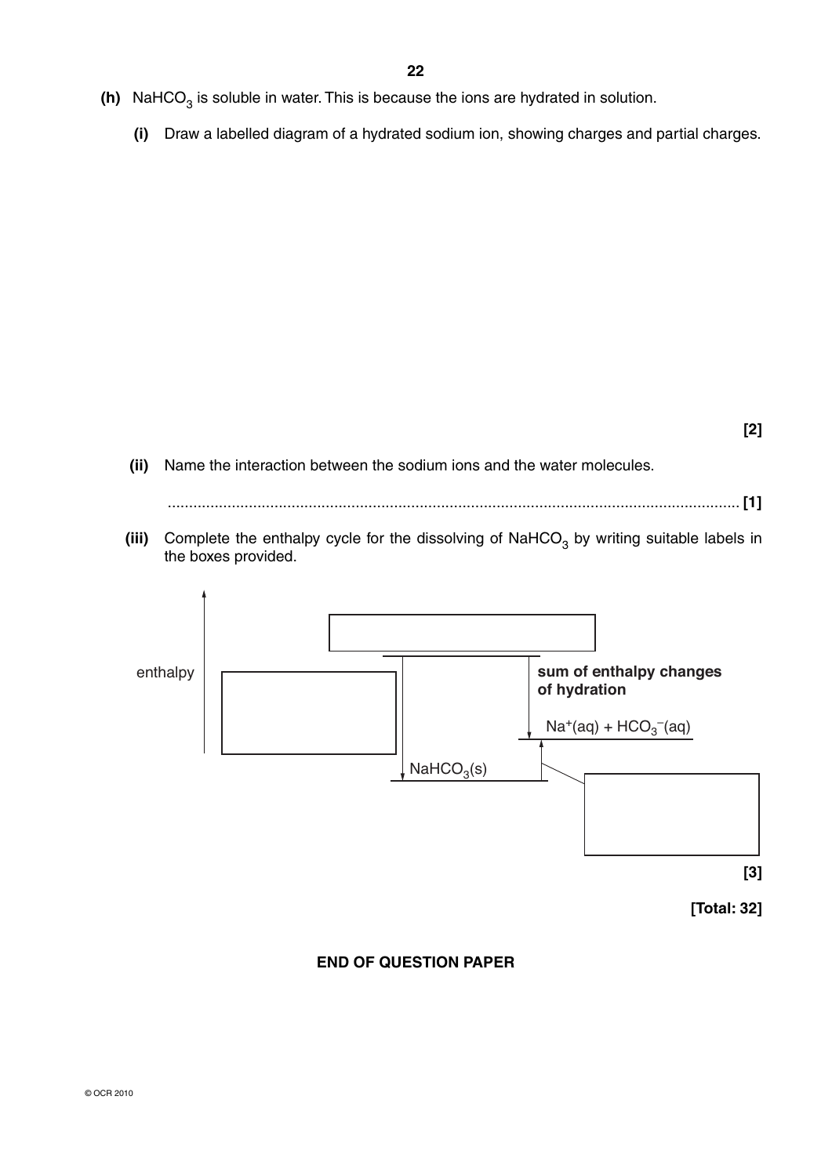- $(h)$  NaHCO<sub>3</sub> is soluble in water. This is because the ions are hydrated in solution.
	- **(i)** Draw a labelled diagram of a hydrated sodium ion, showing charges and partial charges.

**[2]**

 **(ii)** Name the interaction between the sodium ions and the water molecules.

...................................................................................................................................... **[1]**

(iii) Complete the enthalpy cycle for the dissolving of NaHCO<sub>3</sub> by writing suitable labels in the boxes provided.



### **END OF QUESTION PAPER**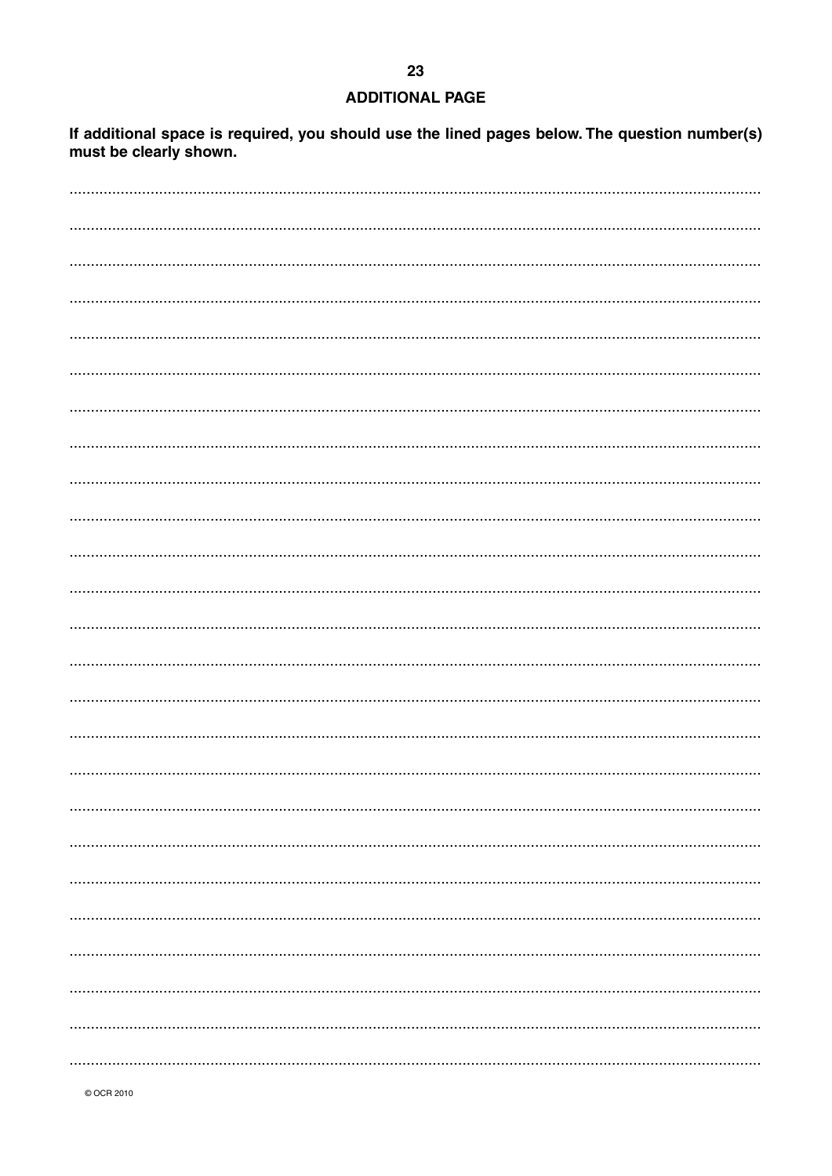### **ADDITIONAL PAGE**

If additional space is required, you should use the lined pages below. The question number(s) must be clearly shown.